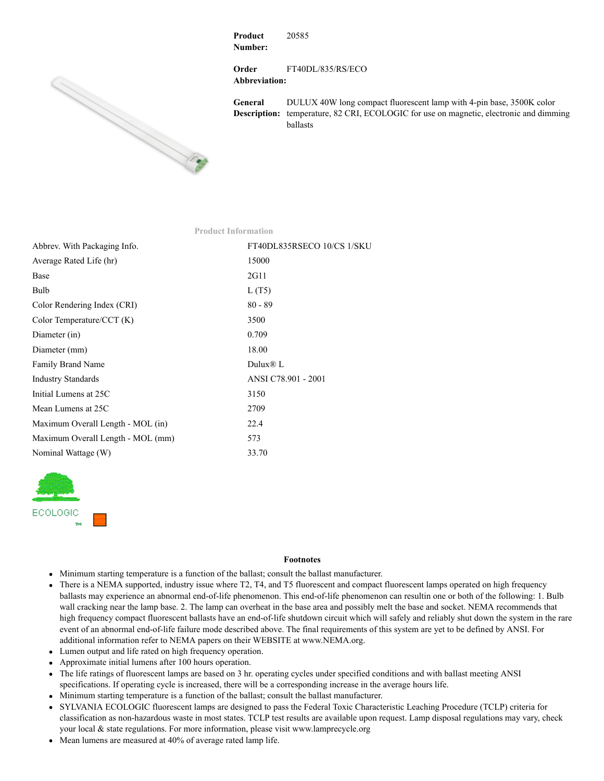

**Product Number:** 20585

**Order Abbreviation:** FT40DL/835/RS/ECO

**General Description:** temperature, 82 CRI, ECOLOGIC for use on magnetic, electronic and dimming DULUX 40W long compact fluorescent lamp with 4-pin base, 3500K color ballasts

| <b>Product Information</b>        |                            |
|-----------------------------------|----------------------------|
| Abbrev. With Packaging Info.      | FT40DL835RSECO 10/CS 1/SKU |
| Average Rated Life (hr)           | 15000                      |
| Base                              | 2G11                       |
| Bulb                              | L(T5)                      |
| Color Rendering Index (CRI)       | $80 - 89$                  |
| Color Temperature/CCT $(K)$       | 3500                       |
| Diameter (in)                     | 0.709                      |
| Diameter (mm)                     | 18.00                      |
| Family Brand Name                 | Dulux $\mathbb D$ L        |
| <b>Industry Standards</b>         | ANSI C78.901 - 2001        |
| Initial Lumens at 25C             | 3150                       |
| Mean Lumens at 25C                | 2709                       |
| Maximum Overall Length - MOL (in) | 22.4                       |
| Maximum Overall Length - MOL (mm) | 573                        |
| Nominal Wattage (W)               | 33.70                      |



## **Footnotes**

- Minimum starting temperature is a function of the ballast; consult the ballast manufacturer.
- There is a NEMA supported, industry issue where T2, T4, and T5 fluorescent and compact fluorescent lamps operated on high frequency ballasts may experience an abnormal end-of-life phenomenon. This end-of-life phenomenon can resultin one or both of the following: 1. Bulb wall cracking near the lamp base. 2. The lamp can overheat in the base area and possibly melt the base and socket. NEMA recommends that high frequency compact fluorescent ballasts have an end-of-life shutdown circuit which will safely and reliably shut down the system in the rare event of an abnormal end-of-life failure mode described above. The final requirements of this system are yet to be defined by ANSI. For additional information refer to NEMA papers on their WEBSITE at www.NEMA.org.
- Lumen output and life rated on high frequency operation.
- Approximate initial lumens after 100 hours operation.
- The life ratings of fluorescent lamps are based on 3 hr. operating cycles under specified conditions and with ballast meeting ANSI specifications. If operating cycle is increased, there will be a corresponding increase in the average hours life.
- Minimum starting temperature is a function of the ballast; consult the ballast manufacturer.
- SYLVANIA ECOLOGIC fluorescent lamps are designed to pass the Federal Toxic Characteristic Leaching Procedure (TCLP) criteria for classification as non-hazardous waste in most states. TCLP test results are available upon request. Lamp disposal regulations may vary, check your local & state regulations. For more information, please visit www.lamprecycle.org
- Mean lumens are measured at 40% of average rated lamp life.